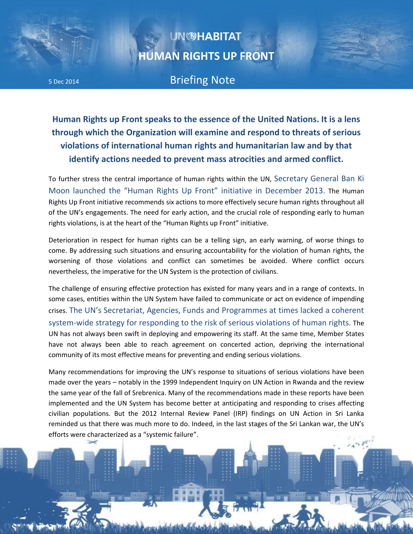## **UN@HABITAT HUMAN RIGHTS UP FRONT**

5 Dec 2014 Briefing Note

**Human Rights up Front speaks to the essence of the United Nations. It is a lens through which the Organization will examine and respond to threats of serious violations of international human rights and humanitarian law and by that identify actions needed to prevent mass atrocities and armed conflict.** 

To further stress the central importance of human rights within the UN, Secretary General Ban Ki Moon launched the "Human Rights Up Front" initiative in December 2013. The Human Rights Up Front initiative recommends six actions to more effectively secure human rights throughout all of the UN's engagements. The need for early action, and the crucial role of responding early to human rights violations, is at the heart of the "Human Rights up Front" initiative.

Deterioration in respect for human rights can be a telling sign, an early warning, of worse things to come. By addressing such situations and ensuring accountability for the violation of human rights, the worsening of those violations and conflict can sometimes be avoided. Where conflict occurs nevertheless, the imperative for the UN System is the protection of civilians.

The challenge of ensuring effective protection has existed for many years and in a range of contexts. In some cases, entities within the UN System have failed to communicate or act on evidence of impending crises. The UN's Secretariat, Agencies, Funds and Programmes at times lacked a coherent system-wide strategy for responding to the risk of serious violations of human rights. The UN has not always been swift in deploying and empowering its staff. At the same time, Member States have not always been able to reach agreement on concerted action, depriving the international community of its most effective means for preventing and ending serious violations.

Many recommendations for improving the UN's response to situations of serious violations have been made over the years – notably in the 1999 Independent Inquiry on UN Action in Rwanda and the review the same year of the fall of Srebrenica. Many of the recommendations made in these reports have been implemented and the UN System has become better at anticipating and responding to crises affecting civilian populations. But the 2012 Internal Review Panel (IRP) findings on UN Action in Sri Lanka reminded us that there was much more to do. Indeed, in the last stages of the Sri Lankan war, the UN's efforts were characterized as a "systemic failure".